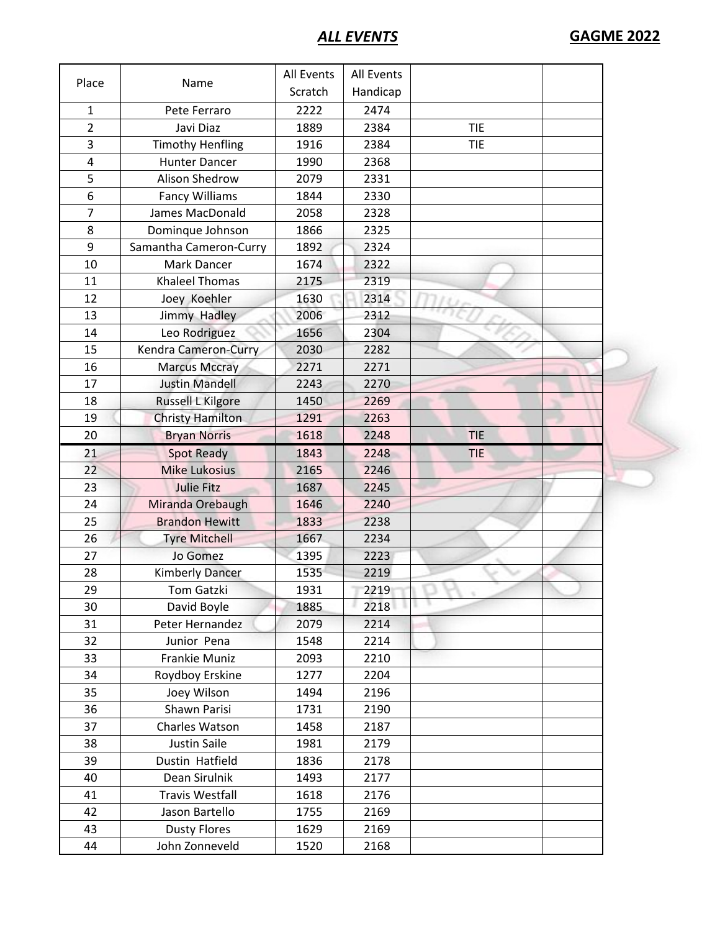|                |                         | <b>All Events</b> | All Events |            |  |
|----------------|-------------------------|-------------------|------------|------------|--|
| Place          | Name                    | Scratch           | Handicap   |            |  |
| $\mathbf{1}$   | Pete Ferraro            | 2222              | 2474       |            |  |
| $\overline{2}$ | Javi Diaz               | 1889              | 2384       | <b>TIE</b> |  |
| 3              | <b>Timothy Henfling</b> | 1916              | 2384       | <b>TIE</b> |  |
| 4              | <b>Hunter Dancer</b>    | 1990              | 2368       |            |  |
| 5              | <b>Alison Shedrow</b>   | 2079              | 2331       |            |  |
| 6              | <b>Fancy Williams</b>   | 1844              | 2330       |            |  |
| $\overline{7}$ | James MacDonald         | 2058              | 2328       |            |  |
| 8              | Dominque Johnson        | 1866              | 2325       |            |  |
| 9              | Samantha Cameron-Curry  | 1892              | 2324       |            |  |
| 10             | Mark Dancer             | 1674              | 2322       |            |  |
| 11             | <b>Khaleel Thomas</b>   | 2175              | 2319       |            |  |
| 12             | Joey Koehler            | 1630              | 2314       |            |  |
| 13             | Jimmy Hadley            | 2006              | 2312       |            |  |
| 14             | Leo Rodriguez           | 1656              | 2304       |            |  |
| 15             | Kendra Cameron-Curry    | 2030              | 2282       |            |  |
| 16             | <b>Marcus Mccray</b>    | 2271              | 2271       |            |  |
| 17             | <b>Justin Mandell</b>   | 2243              | 2270       |            |  |
| 18             | Russell L Kilgore       | 1450              | 2269       |            |  |
| 19             | <b>Christy Hamilton</b> | 1291              | 2263       |            |  |
| 20             | <b>Bryan Norris</b>     | 1618              | 2248       | <b>TIE</b> |  |
| 21             | <b>Spot Ready</b>       | 1843              | 2248       | <b>TIE</b> |  |
| 22             | <b>Mike Lukosius</b>    | 2165              | 2246       |            |  |
| 23             | <b>Julie Fitz</b>       | 1687              | 2245       |            |  |
| 24             | Miranda Orebaugh        | 1646              | 2240       |            |  |
| 25             | <b>Brandon Hewitt</b>   | 1833              | 2238       |            |  |
| 26             | <b>Tyre Mitchell</b>    | 1667              | 2234       |            |  |
| 27             | Jo Gomez                | 1395              | 2223       |            |  |
| 28             | <b>Kimberly Dancer</b>  | 1535              | 2219       |            |  |
| 29             | Tom Gatzki              | 1931              | 2219       |            |  |
| 30             | David Boyle             | 1885              | 2218       |            |  |
| 31             | Peter Hernandez         | 2079              | 2214       |            |  |
| 32             | Junior Pena             | 1548              | 2214       |            |  |
| 33             | Frankie Muniz           | 2093              | 2210       |            |  |
| 34             | Roydboy Erskine         | 1277              | 2204       |            |  |
| 35             | Joey Wilson             | 1494              | 2196       |            |  |
| 36             | Shawn Parisi            | 1731              | 2190       |            |  |
| 37             | Charles Watson          | 1458              | 2187       |            |  |
| 38             | <b>Justin Saile</b>     | 1981              | 2179       |            |  |
| 39             | Dustin Hatfield         | 1836              | 2178       |            |  |
| 40             | Dean Sirulnik           | 1493              | 2177       |            |  |
| 41             | <b>Travis Westfall</b>  | 1618              | 2176       |            |  |
| 42             | Jason Bartello          | 1755              | 2169       |            |  |
| 43             | <b>Dusty Flores</b>     | 1629              | 2169       |            |  |
| 44             | John Zonneveld          | 1520              | 2168       |            |  |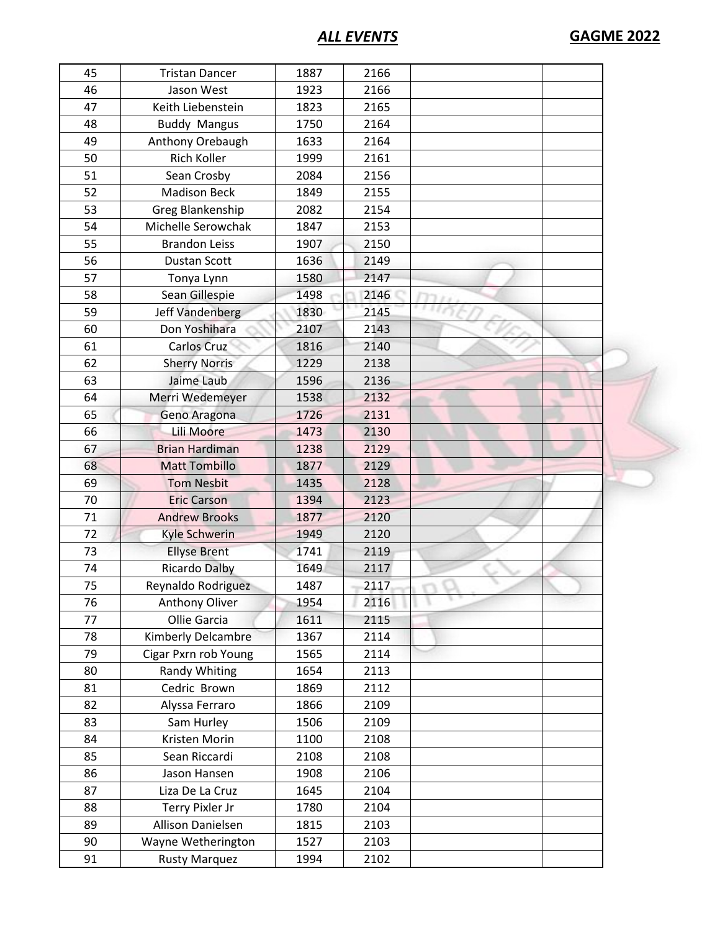*ALL EVENTS* **GAGME 2022**

| 45 | <b>Tristan Dancer</b> | 1887 | 2166 |  |  |
|----|-----------------------|------|------|--|--|
| 46 | Jason West            | 1923 | 2166 |  |  |
| 47 | Keith Liebenstein     | 1823 | 2165 |  |  |
| 48 | <b>Buddy Mangus</b>   | 1750 | 2164 |  |  |
| 49 | Anthony Orebaugh      | 1633 | 2164 |  |  |
| 50 | <b>Rich Koller</b>    | 1999 | 2161 |  |  |
| 51 | Sean Crosby           | 2084 | 2156 |  |  |
| 52 | <b>Madison Beck</b>   | 1849 | 2155 |  |  |
| 53 | Greg Blankenship      | 2082 | 2154 |  |  |
| 54 | Michelle Serowchak    | 1847 | 2153 |  |  |
| 55 | <b>Brandon Leiss</b>  | 1907 | 2150 |  |  |
| 56 | Dustan Scott          | 1636 | 2149 |  |  |
| 57 | Tonya Lynn            | 1580 | 2147 |  |  |
| 58 | Sean Gillespie        | 1498 | 2146 |  |  |
| 59 | Jeff Vandenberg       | 1830 | 2145 |  |  |
| 60 | Don Yoshihara         | 2107 | 2143 |  |  |
| 61 | Carlos Cruz           | 1816 | 2140 |  |  |
| 62 | <b>Sherry Norris</b>  | 1229 | 2138 |  |  |
| 63 | Jaime Laub            | 1596 | 2136 |  |  |
| 64 | Merri Wedemeyer       | 1538 | 2132 |  |  |
| 65 | Geno Aragona          | 1726 | 2131 |  |  |
| 66 | Lili Moore            | 1473 | 2130 |  |  |
| 67 | <b>Brian Hardiman</b> | 1238 | 2129 |  |  |
|    |                       | 1877 | 2129 |  |  |
| 68 | <b>Matt Tombillo</b>  |      |      |  |  |
| 69 | <b>Tom Nesbit</b>     | 1435 | 2128 |  |  |
| 70 | <b>Eric Carson</b>    | 1394 | 2123 |  |  |
| 71 | <b>Andrew Brooks</b>  | 1877 | 2120 |  |  |
| 72 | Kyle Schwerin         | 1949 | 2120 |  |  |
| 73 | <b>Ellyse Brent</b>   | 1741 | 2119 |  |  |
| 74 | <b>Ricardo Dalby</b>  | 1649 | 2117 |  |  |
| 75 | Reynaldo Rodriguez    | 1487 | 2117 |  |  |
| 76 | Anthony Oliver        | 1954 | 2116 |  |  |
| 77 | Ollie Garcia          | 1611 | 2115 |  |  |
| 78 | Kimberly Delcambre    | 1367 | 2114 |  |  |
| 79 | Cigar Pxrn rob Young  | 1565 | 2114 |  |  |
| 80 | <b>Randy Whiting</b>  | 1654 | 2113 |  |  |
| 81 | Cedric Brown          | 1869 | 2112 |  |  |
| 82 | Alyssa Ferraro        | 1866 | 2109 |  |  |
| 83 | Sam Hurley            | 1506 | 2109 |  |  |
| 84 | Kristen Morin         | 1100 | 2108 |  |  |
| 85 | Sean Riccardi         | 2108 | 2108 |  |  |
| 86 | Jason Hansen          | 1908 | 2106 |  |  |
| 87 | Liza De La Cruz       | 1645 | 2104 |  |  |
| 88 | Terry Pixler Jr       | 1780 | 2104 |  |  |
| 89 | Allison Danielsen     | 1815 | 2103 |  |  |
| 90 | Wayne Wetherington    | 1527 | 2103 |  |  |
| 91 | <b>Rusty Marquez</b>  | 1994 | 2102 |  |  |
|    |                       |      |      |  |  |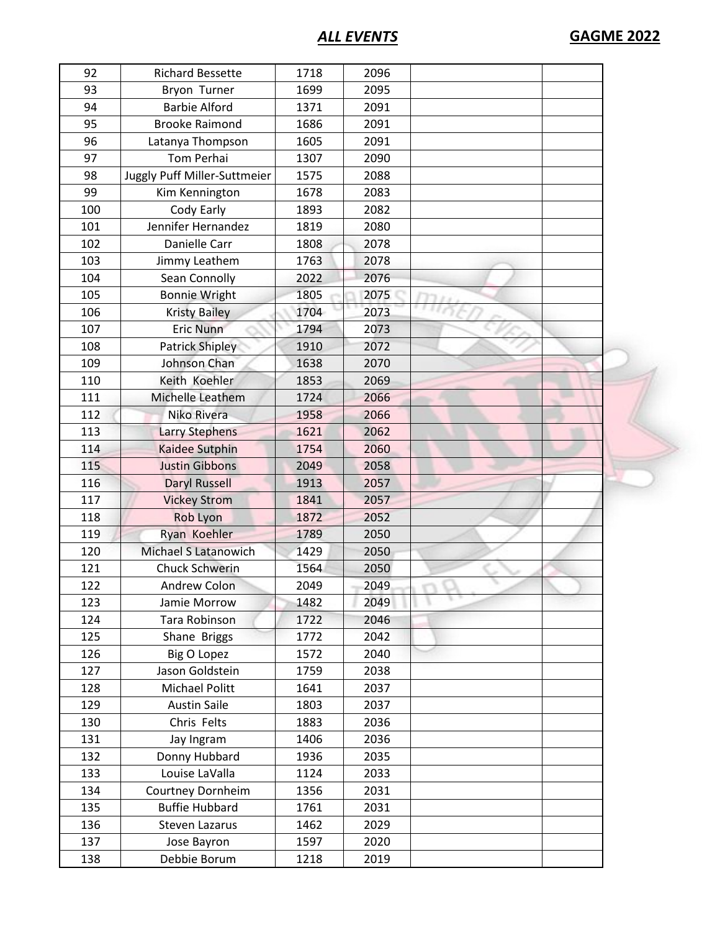*ALL EVENTS* **GAGME 2022**

| 92  | <b>Richard Bessette</b>      | 1718 | 2096 |  |  |
|-----|------------------------------|------|------|--|--|
| 93  | Bryon Turner                 | 1699 | 2095 |  |  |
| 94  | <b>Barbie Alford</b>         | 1371 | 2091 |  |  |
| 95  | <b>Brooke Raimond</b>        | 1686 | 2091 |  |  |
| 96  | Latanya Thompson             | 1605 | 2091 |  |  |
| 97  | Tom Perhai                   | 1307 | 2090 |  |  |
| 98  | Juggly Puff Miller-Suttmeier | 1575 | 2088 |  |  |
| 99  | Kim Kennington               | 1678 | 2083 |  |  |
| 100 | Cody Early                   | 1893 | 2082 |  |  |
| 101 | Jennifer Hernandez           | 1819 | 2080 |  |  |
| 102 | Danielle Carr                | 1808 | 2078 |  |  |
| 103 | Jimmy Leathem                | 1763 | 2078 |  |  |
| 104 | Sean Connolly                | 2022 | 2076 |  |  |
| 105 | <b>Bonnie Wright</b>         | 1805 | 2075 |  |  |
| 106 | <b>Kristy Bailey</b>         | 1704 | 2073 |  |  |
| 107 | <b>Eric Nunn</b>             | 1794 | 2073 |  |  |
| 108 | <b>Patrick Shipley</b>       | 1910 | 2072 |  |  |
| 109 | Johnson Chan                 | 1638 | 2070 |  |  |
| 110 | Keith Koehler                | 1853 | 2069 |  |  |
| 111 | Michelle Leathem             | 1724 | 2066 |  |  |
| 112 | Niko Rivera                  | 1958 | 2066 |  |  |
| 113 | <b>Larry Stephens</b>        | 1621 | 2062 |  |  |
| 114 | Kaidee Sutphin               | 1754 | 2060 |  |  |
| 115 | <b>Justin Gibbons</b>        | 2049 | 2058 |  |  |
| 116 | <b>Daryl Russell</b>         | 1913 | 2057 |  |  |
| 117 | <b>Vickey Strom</b>          | 1841 | 2057 |  |  |
| 118 | <b>Rob Lyon</b>              | 1872 | 2052 |  |  |
| 119 | Ryan Koehler                 | 1789 | 2050 |  |  |
| 120 | Michael S Latanowich         | 1429 | 2050 |  |  |
| 121 | Chuck Schwerin               | 1564 | 2050 |  |  |
| 122 | Andrew Colon                 | 2049 | 2049 |  |  |
| 123 | Jamie Morrow                 | 1482 | 2049 |  |  |
| 124 | Tara Robinson                | 1722 | 2046 |  |  |
| 125 | Shane Briggs                 | 1772 | 2042 |  |  |
| 126 | <b>Big O Lopez</b>           | 1572 | 2040 |  |  |
| 127 | Jason Goldstein              | 1759 | 2038 |  |  |
| 128 | Michael Politt               | 1641 | 2037 |  |  |
| 129 | <b>Austin Saile</b>          | 1803 | 2037 |  |  |
| 130 | Chris Felts                  | 1883 | 2036 |  |  |
| 131 | Jay Ingram                   | 1406 | 2036 |  |  |
| 132 | Donny Hubbard                | 1936 | 2035 |  |  |
| 133 | Louise LaValla               | 1124 | 2033 |  |  |
| 134 | Courtney Dornheim            | 1356 | 2031 |  |  |
| 135 | <b>Buffie Hubbard</b>        | 1761 | 2031 |  |  |
| 136 | Steven Lazarus               | 1462 | 2029 |  |  |
| 137 | Jose Bayron                  | 1597 | 2020 |  |  |
| 138 | Debbie Borum                 | 1218 | 2019 |  |  |
|     |                              |      |      |  |  |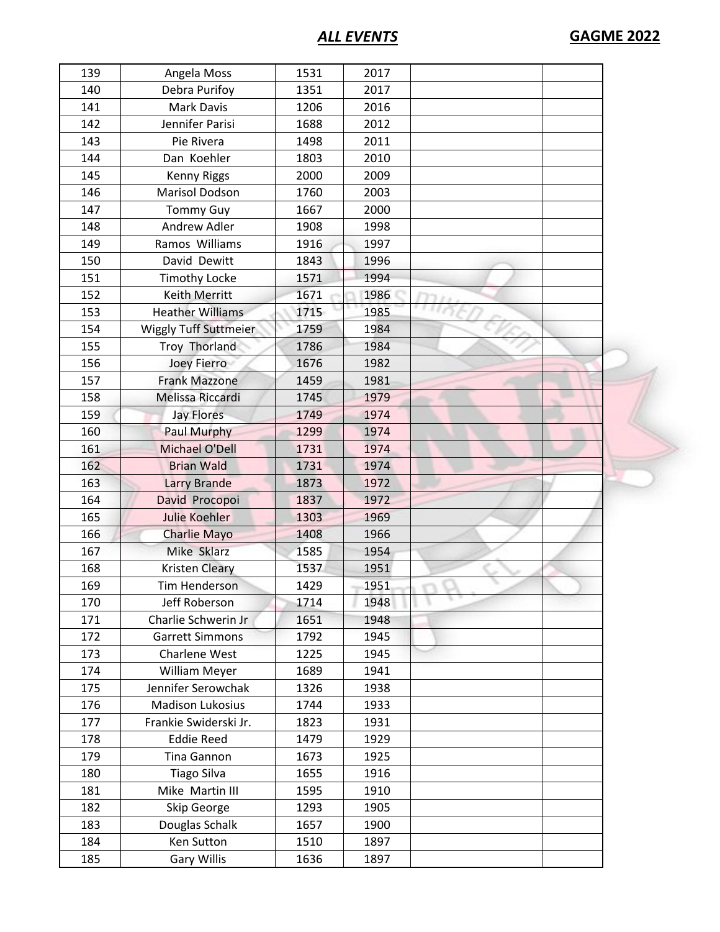*ALL EVENTS* **GAGME 2022**

| 139 | Angela Moss                  | 1531 | 2017 |  |
|-----|------------------------------|------|------|--|
| 140 | Debra Purifoy                | 1351 | 2017 |  |
| 141 | Mark Davis                   | 1206 | 2016 |  |
| 142 | Jennifer Parisi              | 1688 | 2012 |  |
| 143 | Pie Rivera                   | 1498 | 2011 |  |
| 144 | Dan Koehler                  | 1803 | 2010 |  |
| 145 | <b>Kenny Riggs</b>           | 2000 | 2009 |  |
| 146 | Marisol Dodson               | 1760 | 2003 |  |
| 147 | <b>Tommy Guy</b>             | 1667 | 2000 |  |
| 148 | Andrew Adler                 | 1908 | 1998 |  |
| 149 | Ramos Williams               | 1916 | 1997 |  |
| 150 | David Dewitt                 | 1843 | 1996 |  |
| 151 | <b>Timothy Locke</b>         | 1571 | 1994 |  |
| 152 | Keith Merritt                | 1671 | 1986 |  |
| 153 | <b>Heather Williams</b>      | 1715 | 1985 |  |
| 154 | <b>Wiggly Tuff Suttmeier</b> | 1759 | 1984 |  |
| 155 | Troy Thorland                | 1786 | 1984 |  |
| 156 | Joey Fierro                  | 1676 | 1982 |  |
| 157 | <b>Frank Mazzone</b>         | 1459 | 1981 |  |
| 158 | Melissa Riccardi             | 1745 | 1979 |  |
| 159 | <b>Jay Flores</b>            | 1749 | 1974 |  |
| 160 | Paul Murphy                  | 1299 | 1974 |  |
| 161 | <b>Michael O'Dell</b>        | 1731 | 1974 |  |
| 162 | <b>Brian Wald</b>            | 1731 | 1974 |  |
|     |                              |      |      |  |
| 163 | <b>Larry Brande</b>          | 1873 | 1972 |  |
| 164 | David Procopoi               | 1837 | 1972 |  |
| 165 | <b>Julie Koehler</b>         | 1303 | 1969 |  |
| 166 | Charlie Mayo                 | 1408 | 1966 |  |
| 167 | Mike Sklarz                  | 1585 | 1954 |  |
| 168 | <b>Kristen Cleary</b>        | 1537 | 1951 |  |
| 169 | <b>Tim Henderson</b>         | 1429 | 1951 |  |
| 170 | Jeff Roberson                | 1714 | 1948 |  |
| 171 | Charlie Schwerin Jr          | 1651 | 1948 |  |
| 172 | <b>Garrett Simmons</b>       | 1792 | 1945 |  |
| 173 | Charlene West                | 1225 | 1945 |  |
| 174 | William Meyer                | 1689 | 1941 |  |
| 175 | Jennifer Serowchak           | 1326 | 1938 |  |
| 176 | <b>Madison Lukosius</b>      | 1744 | 1933 |  |
| 177 | Frankie Swiderski Jr.        | 1823 | 1931 |  |
| 178 | <b>Eddie Reed</b>            | 1479 | 1929 |  |
| 179 | Tina Gannon                  | 1673 | 1925 |  |
| 180 | <b>Tiago Silva</b>           | 1655 | 1916 |  |
| 181 | Mike Martin III              | 1595 | 1910 |  |
| 182 | Skip George                  | 1293 | 1905 |  |
| 183 | Douglas Schalk               | 1657 | 1900 |  |
| 184 | Ken Sutton                   | 1510 | 1897 |  |
| 185 | <b>Gary Willis</b>           | 1636 | 1897 |  |
|     |                              |      |      |  |